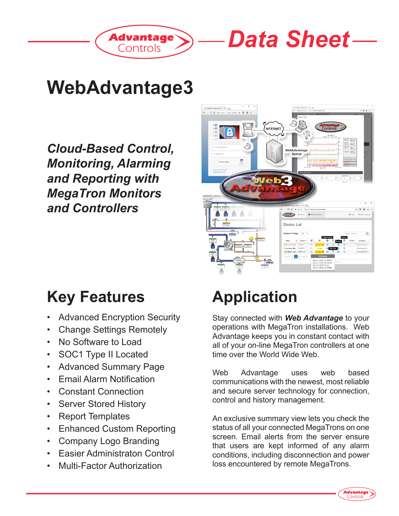



## **WebAdvantage3**

*Cloud-Based Control, Monitoring, Alarming and Reporting with MegaTron Monitors and Controllers*



### **Key Features**

- Advanced Encryption Security
- Change Settings Remotely
- No Software to Load
- SOC1 Type II Located
- Advanced Summary Page
- Email Alarm Notification
- Constant Connection
- Server Stored History
- Report Templates
- Enhanced Custom Reporting
- Company Logo Branding
- **Easier Administraton Control**
- Multi-Factor Authorization

# **Application**

Stay connected with *Web Advantage* to your operations with MegaTron installations. Web Advantage keeps you in constant contact with all of your on-line MegaTron controllers at one time over the World Wide Web.

Web Advantage uses web based communications with the newest, most reliable and secure server technology for connection, control and history management.

An exclusive summary view lets you check the status of all your connected MegaTrons on one screen. Email alerts from the server ensure that users are kept informed of any alarm conditions, including disconnection and power loss encountered by remote MegaTrons.